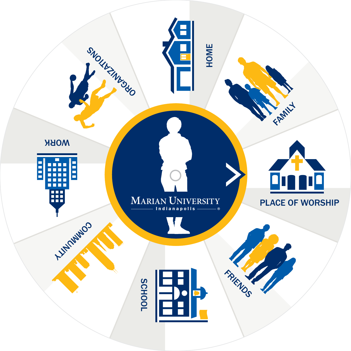